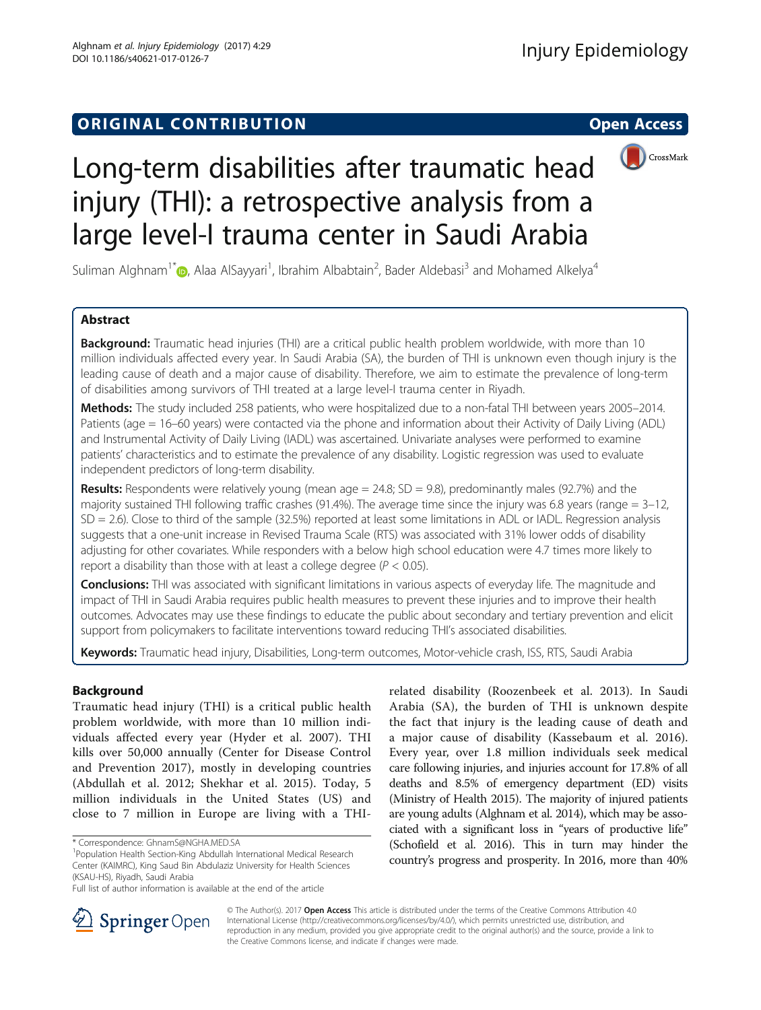## **ORIGINAL CONTRIBUTION CONTRIBUTION CONTRIBUTION**



# Long-term disabilities after traumatic head injury (THI): a retrospective analysis from a large level-I trauma center in Saudi Arabia

Suliman Alghnam<sup>1[\\*](http://orcid.org/0000-0001-5817-0481)</sup> (**b**, Alaa AlSayyari<sup>1</sup>, Ibrahim Albabtain<sup>2</sup>, Bader Aldebasi<sup>3</sup> and Mohamed Alkelya<sup>4</sup>

## Abstract

**Background:** Traumatic head injuries (THI) are a critical public health problem worldwide, with more than 10 million individuals affected every year. In Saudi Arabia (SA), the burden of THI is unknown even though injury is the leading cause of death and a major cause of disability. Therefore, we aim to estimate the prevalence of long-term of disabilities among survivors of THI treated at a large level-I trauma center in Riyadh.

Methods: The study included 258 patients, who were hospitalized due to a non-fatal THI between years 2005-2014. Patients (age = 16–60 years) were contacted via the phone and information about their Activity of Daily Living (ADL) and Instrumental Activity of Daily Living (IADL) was ascertained. Univariate analyses were performed to examine patients' characteristics and to estimate the prevalence of any disability. Logistic regression was used to evaluate independent predictors of long-term disability.

**Results:** Respondents were relatively young (mean age  $= 24.8$ ; SD  $= 9.8$ ), predominantly males (92.7%) and the majority sustained THI following traffic crashes (91.4%). The average time since the injury was 6.8 years (range  $= 3-12$ , SD = 2.6). Close to third of the sample (32.5%) reported at least some limitations in ADL or IADL. Regression analysis suggests that a one-unit increase in Revised Trauma Scale (RTS) was associated with 31% lower odds of disability adjusting for other covariates. While responders with a below high school education were 4.7 times more likely to report a disability than those with at least a college degree ( $P < 0.05$ ).

**Conclusions:** THI was associated with significant limitations in various aspects of everyday life. The magnitude and impact of THI in Saudi Arabia requires public health measures to prevent these injuries and to improve their health outcomes. Advocates may use these findings to educate the public about secondary and tertiary prevention and elicit support from policymakers to facilitate interventions toward reducing THI's associated disabilities.

Keywords: Traumatic head injury, Disabilities, Long-term outcomes, Motor-vehicle crash, ISS, RTS, Saudi Arabia

## Background

Traumatic head injury (THI) is a critical public health problem worldwide, with more than 10 million individuals affected every year (Hyder et al. [2007\)](#page-6-0). THI kills over 50,000 annually (Center for Disease Control and Prevention [2017\)](#page-6-0), mostly in developing countries (Abdullah et al. [2012;](#page-6-0) Shekhar et al. [2015](#page-7-0)). Today, 5 million individuals in the United States (US) and close to 7 million in Europe are living with a THI-

related disability (Roozenbeek et al. [2013\)](#page-6-0). In Saudi Arabia (SA), the burden of THI is unknown despite the fact that injury is the leading cause of death and a major cause of disability (Kassebaum et al. [2016](#page-6-0)). Every year, over 1.8 million individuals seek medical care following injuries, and injuries account for 17.8% of all deaths and 8.5% of emergency department (ED) visits (Ministry of Health [2015](#page-6-0)). The majority of injured patients are young adults (Alghnam et al. [2014\)](#page-6-0), which may be associated with a significant loss in "years of productive life" (Schofield et al. [2016\)](#page-7-0). This in turn may hinder the country's progress and prosperity. In 2016, more than 40%



© The Author(s). 2017 **Open Access** This article is distributed under the terms of the Creative Commons Attribution 4.0 International License ([http://creativecommons.org/licenses/by/4.0/\)](http://creativecommons.org/licenses/by/4.0/), which permits unrestricted use, distribution, and reproduction in any medium, provided you give appropriate credit to the original author(s) and the source, provide a link to the Creative Commons license, and indicate if changes were made.

<sup>\*</sup> Correspondence: [GhnamS@NGHA.MED.SA](mailto:GhnamS@NGHA.MED.SA) <sup>1</sup>

<sup>&</sup>lt;sup>1</sup>Population Health Section-King Abdullah International Medical Research Center (KAIMRC), King Saud Bin Abdulaziz University for Health Sciences (KSAU-HS), Riyadh, Saudi Arabia

Full list of author information is available at the end of the article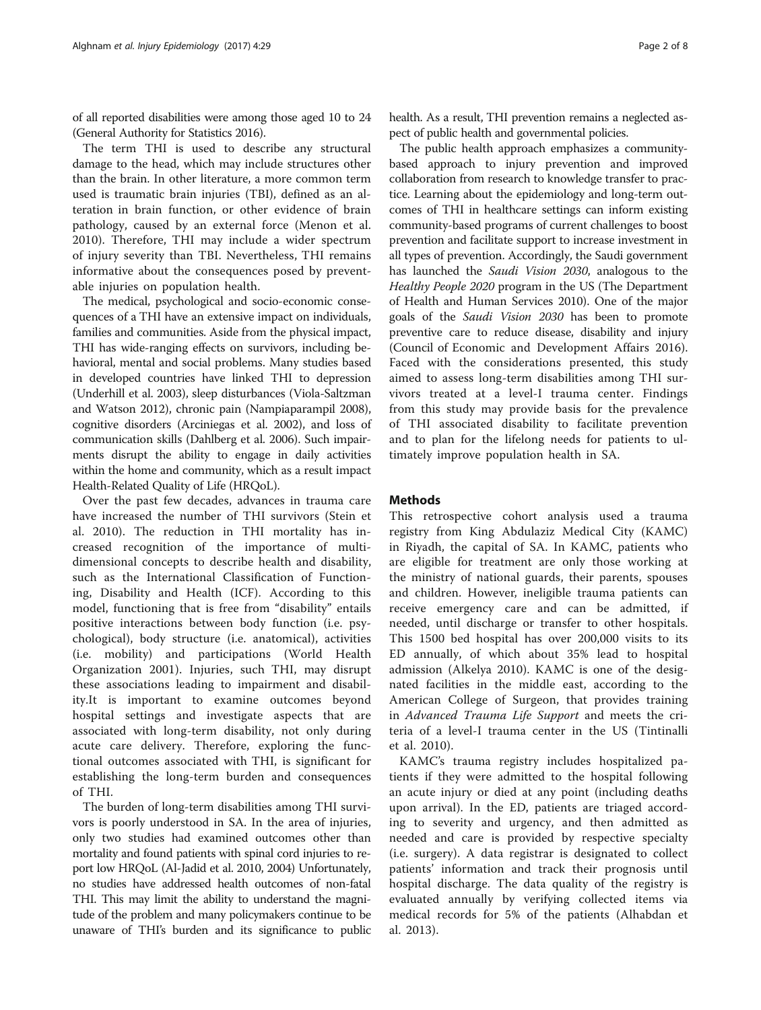of all reported disabilities were among those aged 10 to 24 (General Authority for Statistics [2016](#page-6-0)).

The term THI is used to describe any structural damage to the head, which may include structures other than the brain. In other literature, a more common term used is traumatic brain injuries (TBI), defined as an alteration in brain function, or other evidence of brain pathology, caused by an external force (Menon et al. [2010\)](#page-6-0). Therefore, THI may include a wider spectrum of injury severity than TBI. Nevertheless, THI remains informative about the consequences posed by preventable injuries on population health.

The medical, psychological and socio-economic consequences of a THI have an extensive impact on individuals, families and communities. Aside from the physical impact, THI has wide-ranging effects on survivors, including behavioral, mental and social problems. Many studies based in developed countries have linked THI to depression (Underhill et al. [2003](#page-7-0)), sleep disturbances (Viola-Saltzman and Watson [2012](#page-7-0)), chronic pain (Nampiaparampil [2008](#page-6-0)), cognitive disorders (Arciniegas et al. [2002\)](#page-6-0), and loss of communication skills (Dahlberg et al. [2006](#page-6-0)). Such impairments disrupt the ability to engage in daily activities within the home and community, which as a result impact Health-Related Quality of Life (HRQoL).

Over the past few decades, advances in trauma care have increased the number of THI survivors (Stein et al. [2010\)](#page-7-0). The reduction in THI mortality has increased recognition of the importance of multidimensional concepts to describe health and disability, such as the International Classification of Functioning, Disability and Health (ICF). According to this model, functioning that is free from "disability" entails positive interactions between body function (i.e. psychological), body structure (i.e. anatomical), activities (i.e. mobility) and participations (World Health Organization [2001](#page-7-0)). Injuries, such THI, may disrupt these associations leading to impairment and disability.It is important to examine outcomes beyond hospital settings and investigate aspects that are associated with long-term disability, not only during acute care delivery. Therefore, exploring the functional outcomes associated with THI, is significant for establishing the long-term burden and consequences of THI.

The burden of long-term disabilities among THI survivors is poorly understood in SA. In the area of injuries, only two studies had examined outcomes other than mortality and found patients with spinal cord injuries to report low HRQoL (Al-Jadid et al. [2010](#page-6-0), [2004](#page-6-0)) Unfortunately, no studies have addressed health outcomes of non-fatal THI. This may limit the ability to understand the magnitude of the problem and many policymakers continue to be unaware of THI's burden and its significance to public health. As a result, THI prevention remains a neglected aspect of public health and governmental policies.

The public health approach emphasizes a communitybased approach to injury prevention and improved collaboration from research to knowledge transfer to practice. Learning about the epidemiology and long-term outcomes of THI in healthcare settings can inform existing community-based programs of current challenges to boost prevention and facilitate support to increase investment in all types of prevention. Accordingly, the Saudi government has launched the Saudi Vision 2030, analogous to the Healthy People 2020 program in the US (The Department of Health and Human Services [2010](#page-6-0)). One of the major goals of the Saudi Vision 2030 has been to promote preventive care to reduce disease, disability and injury (Council of Economic and Development Affairs [2016](#page-6-0)). Faced with the considerations presented, this study aimed to assess long-term disabilities among THI survivors treated at a level-I trauma center. Findings from this study may provide basis for the prevalence of THI associated disability to facilitate prevention and to plan for the lifelong needs for patients to ultimately improve population health in SA.

#### **Methods**

This retrospective cohort analysis used a trauma registry from King Abdulaziz Medical City (KAMC) in Riyadh, the capital of SA. In KAMC, patients who are eligible for treatment are only those working at the ministry of national guards, their parents, spouses and children. However, ineligible trauma patients can receive emergency care and can be admitted, if needed, until discharge or transfer to other hospitals. This 1500 bed hospital has over 200,000 visits to its ED annually, of which about 35% lead to hospital admission (Alkelya [2010](#page-6-0)). KAMC is one of the designated facilities in the middle east, according to the American College of Surgeon, that provides training in Advanced Trauma Life Support and meets the criteria of a level-I trauma center in the US (Tintinalli et al. [2010\)](#page-7-0).

KAMC's trauma registry includes hospitalized patients if they were admitted to the hospital following an acute injury or died at any point (including deaths upon arrival). In the ED, patients are triaged according to severity and urgency, and then admitted as needed and care is provided by respective specialty (i.e. surgery). A data registrar is designated to collect patients' information and track their prognosis until hospital discharge. The data quality of the registry is evaluated annually by verifying collected items via medical records for 5% of the patients (Alhabdan et al. [2013](#page-6-0)).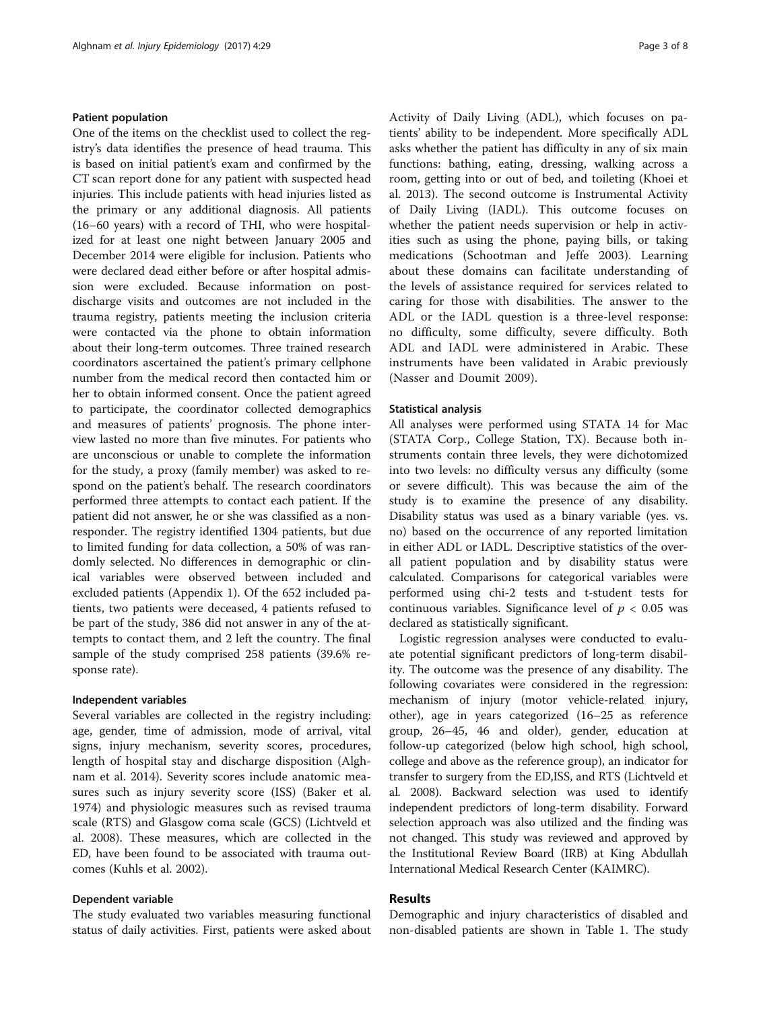#### Patient population

One of the items on the checklist used to collect the registry's data identifies the presence of head trauma. This is based on initial patient's exam and confirmed by the CT scan report done for any patient with suspected head injuries. This include patients with head injuries listed as the primary or any additional diagnosis. All patients (16–60 years) with a record of THI, who were hospitalized for at least one night between January 2005 and December 2014 were eligible for inclusion. Patients who were declared dead either before or after hospital admission were excluded. Because information on postdischarge visits and outcomes are not included in the trauma registry, patients meeting the inclusion criteria were contacted via the phone to obtain information about their long-term outcomes. Three trained research coordinators ascertained the patient's primary cellphone number from the medical record then contacted him or her to obtain informed consent. Once the patient agreed to participate, the coordinator collected demographics and measures of patients' prognosis. The phone interview lasted no more than five minutes. For patients who are unconscious or unable to complete the information for the study, a proxy (family member) was asked to respond on the patient's behalf. The research coordinators performed three attempts to contact each patient. If the patient did not answer, he or she was classified as a nonresponder. The registry identified 1304 patients, but due to limited funding for data collection, a 50% of was randomly selected. No differences in demographic or clinical variables were observed between included and excluded patients ([Appendix 1\)](#page-5-0). Of the 652 included patients, two patients were deceased, 4 patients refused to be part of the study, 386 did not answer in any of the attempts to contact them, and 2 left the country. The final sample of the study comprised 258 patients (39.6% response rate).

#### Independent variables

Several variables are collected in the registry including: age, gender, time of admission, mode of arrival, vital signs, injury mechanism, severity scores, procedures, length of hospital stay and discharge disposition (Alghnam et al. [2014\)](#page-6-0). Severity scores include anatomic measures such as injury severity score (ISS) (Baker et al. [1974](#page-6-0)) and physiologic measures such as revised trauma scale (RTS) and Glasgow coma scale (GCS) (Lichtveld et al. [2008\)](#page-6-0). These measures, which are collected in the ED, have been found to be associated with trauma outcomes (Kuhls et al. [2002](#page-6-0)).

#### Dependent variable

The study evaluated two variables measuring functional status of daily activities. First, patients were asked about Activity of Daily Living (ADL), which focuses on patients' ability to be independent. More specifically ADL asks whether the patient has difficulty in any of six main functions: bathing, eating, dressing, walking across a room, getting into or out of bed, and toileting (Khoei et al. [2013\)](#page-6-0). The second outcome is Instrumental Activity of Daily Living (IADL). This outcome focuses on whether the patient needs supervision or help in activities such as using the phone, paying bills, or taking medications (Schootman and Jeffe [2003\)](#page-7-0). Learning about these domains can facilitate understanding of the levels of assistance required for services related to caring for those with disabilities. The answer to the ADL or the IADL question is a three-level response: no difficulty, some difficulty, severe difficulty. Both ADL and IADL were administered in Arabic. These instruments have been validated in Arabic previously (Nasser and Doumit [2009](#page-6-0)).

#### Statistical analysis

All analyses were performed using STATA 14 for Mac (STATA Corp., College Station, TX). Because both instruments contain three levels, they were dichotomized into two levels: no difficulty versus any difficulty (some or severe difficult). This was because the aim of the study is to examine the presence of any disability. Disability status was used as a binary variable (yes. vs. no) based on the occurrence of any reported limitation in either ADL or IADL. Descriptive statistics of the overall patient population and by disability status were calculated. Comparisons for categorical variables were performed using chi-2 tests and t-student tests for continuous variables. Significance level of  $p < 0.05$  was declared as statistically significant.

Logistic regression analyses were conducted to evaluate potential significant predictors of long-term disability. The outcome was the presence of any disability. The following covariates were considered in the regression: mechanism of injury (motor vehicle-related injury, other), age in years categorized (16–25 as reference group, 26–45, 46 and older), gender, education at follow-up categorized (below high school, high school, college and above as the reference group), an indicator for transfer to surgery from the ED,ISS, and RTS (Lichtveld et al. [2008\)](#page-6-0). Backward selection was used to identify independent predictors of long-term disability. Forward selection approach was also utilized and the finding was not changed. This study was reviewed and approved by the Institutional Review Board (IRB) at King Abdullah International Medical Research Center (KAIMRC).

## Results

Demographic and injury characteristics of disabled and non-disabled patients are shown in Table [1.](#page-3-0) The study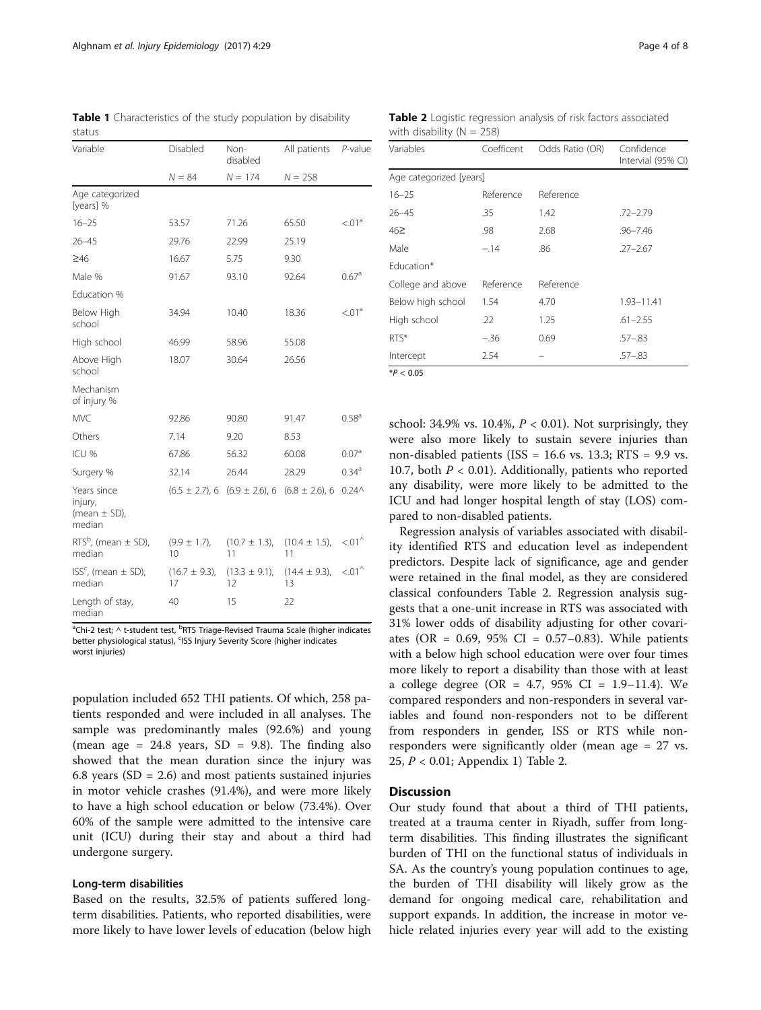<sup>a</sup>Chi-2 test; ^ t-student test, <sup>b</sup>RTS Triage-Revised Trauma Scale (higher indicates better physiological status), <sup>c</sup>ISS Injury Severity Score (higher indicates worst injuries)

population included 652 THI patients. Of which, 258 patients responded and were included in all analyses. The sample was predominantly males (92.6%) and young (mean age =  $24.8$  years, SD = 9.8). The finding also showed that the mean duration since the injury was 6.8 years ( $SD = 2.6$ ) and most patients sustained injuries in motor vehicle crashes (91.4%), and were more likely to have a high school education or below (73.4%). Over 60% of the sample were admitted to the intensive care unit (ICU) during their stay and about a third had undergone surgery.

#### Long-term disabilities

Based on the results, 32.5% of patients suffered longterm disabilities. Patients, who reported disabilities, were more likely to have lower levels of education (below high school: 34.9% vs. 10.4%,  $P < 0.01$ ). Not surprisingly, they were also more likely to sustain severe injuries than non-disabled patients (ISS =  $16.6$  vs. 13.3; RTS =  $9.9$  vs. 10.7, both  $P < 0.01$ ). Additionally, patients who reported any disability, were more likely to be admitted to the ICU and had longer hospital length of stay (LOS) compared to non-disabled patients.

Regression analysis of variables associated with disability identified RTS and education level as independent predictors. Despite lack of significance, age and gender were retained in the final model, as they are considered classical confounders Table 2. Regression analysis suggests that a one-unit increase in RTS was associated with 31% lower odds of disability adjusting for other covariates (OR = 0.69, 95% CI = 0.57–0.83). While patients with a below high school education were over four times more likely to report a disability than those with at least a college degree (OR = 4.7,  $95\%$  CI = 1.9–11.4). We compared responders and non-responders in several variables and found non-responders not to be different from responders in gender, ISS or RTS while nonresponders were significantly older (mean age = 27 vs. 25, P < 0.01; [Appendix 1\)](#page-5-0) Table 2.

#### **Discussion**

 $*P < 0.05$ 

Our study found that about a third of THI patients, treated at a trauma center in Riyadh, suffer from longterm disabilities. This finding illustrates the significant burden of THI on the functional status of individuals in SA. As the country's young population continues to age, the burden of THI disability will likely grow as the demand for ongoing medical care, rehabilitation and support expands. In addition, the increase in motor vehicle related injuries every year will add to the existing

<span id="page-3-0"></span>Table 1 Characteristics of the study population by disability status

All patients P-value

| Variable                                             | Disabled                 | Non-<br>disabled                                         | All patients             | $P$ -value                             |
|------------------------------------------------------|--------------------------|----------------------------------------------------------|--------------------------|----------------------------------------|
|                                                      | $N = 84$                 | $N = 174$                                                | $N = 258$                |                                        |
| Age categorized<br>[years] %                         |                          |                                                          |                          |                                        |
| $16 - 25$                                            | 53.57                    | 71.26                                                    | 65.50                    | < 01 <sup>a</sup>                      |
| $26 - 45$                                            | 29.76                    | 22.99                                                    | 25.19                    |                                        |
| $\geq 46$                                            | 16.67                    | 5.75                                                     | 9.30                     |                                        |
| Male %                                               | 91.67                    | 93.10                                                    | 92.64                    | 0.67 <sup>a</sup>                      |
| Education %                                          |                          |                                                          |                          |                                        |
| Below High<br>school                                 | 34.94                    | 10.40                                                    | 18.36                    | < 01 <sup>a</sup>                      |
| High school                                          | 46.99                    | 58.96                                                    | 55.08                    |                                        |
| Above High<br>school                                 | 18.07                    | 30.64                                                    | 26.56                    |                                        |
| Mechanism<br>of injury %                             |                          |                                                          |                          |                                        |
| <b>MVC</b>                                           | 92.86                    | 90.80                                                    | 91.47                    | 0.58 <sup>a</sup>                      |
| Others                                               | 7.14                     | 9.20                                                     | 8.53                     |                                        |
| ICU %                                                | 67.86                    | 56.32                                                    | 60.08                    | $0.07^{\rm a}$                         |
| Surgery %                                            | 32.14                    | 26.44                                                    | 28.29                    | 0.34 <sup>a</sup>                      |
| Years since<br>injury,<br>(mean $\pm$ SD),<br>median |                          | $(6.5 \pm 2.7), 6$ $(6.9 \pm 2.6), 6$ $(6.8 \pm 2.6), 6$ |                          | $0.24^$                                |
| RTS $^{\rm b}$ , (mean $\pm$ SD),<br>median          | $(9.9 \pm 1.7)$ ,<br>10  | $(10.7 \pm 1.3)$ ,<br>11                                 | $(10.4 \pm 1.5)$ ,<br>11 | $<.01$ <sup><math>\degree</math></sup> |
| $ISSc$ , (mean $\pm$ SD),<br>median                  | $(16.7 \pm 9.3)$ ,<br>17 | $(13.3 \pm 9.1)$ ,<br>12                                 | $(14.4 \pm 9.3)$ ,<br>13 | $<.01$ <sup><math>\degree</math></sup> |
| Length of stay,<br>median                            | 40                       | 15                                                       | 22                       |                                        |

Variables Coefficent Odds Ratio (OR) Confidence Intervial (95% CI) Age categorized [years] 16–25 Reference Reference 26–45 .35 1.42 .72–2.79 46≥ .98 2.68 .96–7.46 Male −.14 .86 .27–2.67 Education\* College and above Reference Reference Below high school 1.54 4.70 1.93–11.41 High school .22 .25 .61-2.55 RTS\* −.36 0.69 .57–.83 Intercept 2.54 – .57–.83

| Table 2 Logistic regression analysis of risk factors associated |  |  |
|-----------------------------------------------------------------|--|--|
| with disability ( $N = 258$ )                                   |  |  |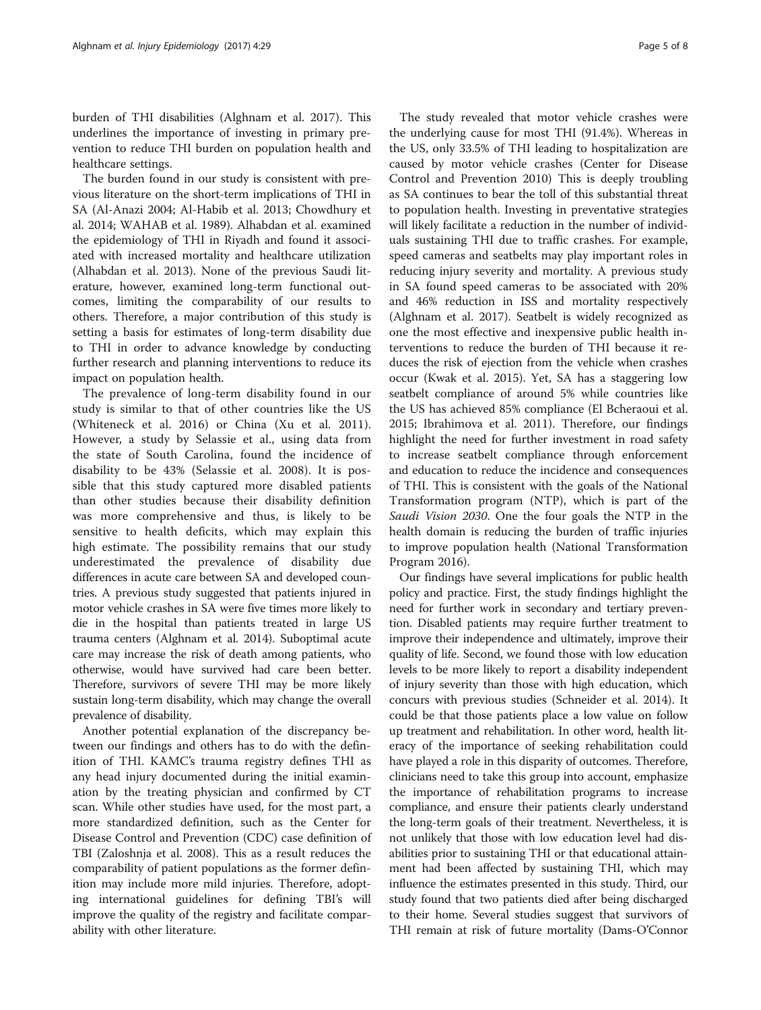burden of THI disabilities (Alghnam et al. [2017\)](#page-6-0). This underlines the importance of investing in primary prevention to reduce THI burden on population health and healthcare settings.

The burden found in our study is consistent with previous literature on the short-term implications of THI in SA (Al-Anazi [2004](#page-6-0); Al-Habib et al. [2013;](#page-6-0) Chowdhury et al. [2014;](#page-6-0) WAHAB et al. [1989](#page-7-0)). Alhabdan et al. examined the epidemiology of THI in Riyadh and found it associated with increased mortality and healthcare utilization (Alhabdan et al. [2013](#page-6-0)). None of the previous Saudi literature, however, examined long-term functional outcomes, limiting the comparability of our results to others. Therefore, a major contribution of this study is setting a basis for estimates of long-term disability due to THI in order to advance knowledge by conducting further research and planning interventions to reduce its impact on population health.

The prevalence of long-term disability found in our study is similar to that of other countries like the US (Whiteneck et al. [2016](#page-7-0)) or China (Xu et al. [2011](#page-7-0)). However, a study by Selassie et al., using data from the state of South Carolina, found the incidence of disability to be 43% (Selassie et al. [2008](#page-7-0)). It is possible that this study captured more disabled patients than other studies because their disability definition was more comprehensive and thus, is likely to be sensitive to health deficits, which may explain this high estimate. The possibility remains that our study underestimated the prevalence of disability due differences in acute care between SA and developed countries. A previous study suggested that patients injured in motor vehicle crashes in SA were five times more likely to die in the hospital than patients treated in large US trauma centers (Alghnam et al. [2014](#page-6-0)). Suboptimal acute care may increase the risk of death among patients, who otherwise, would have survived had care been better. Therefore, survivors of severe THI may be more likely sustain long-term disability, which may change the overall prevalence of disability.

Another potential explanation of the discrepancy between our findings and others has to do with the definition of THI. KAMC's trauma registry defines THI as any head injury documented during the initial examination by the treating physician and confirmed by CT scan. While other studies have used, for the most part, a more standardized definition, such as the Center for Disease Control and Prevention (CDC) case definition of TBI (Zaloshnja et al. [2008\)](#page-7-0). This as a result reduces the comparability of patient populations as the former definition may include more mild injuries. Therefore, adopting international guidelines for defining TBI's will improve the quality of the registry and facilitate comparability with other literature.

The study revealed that motor vehicle crashes were the underlying cause for most THI (91.4%). Whereas in the US, only 33.5% of THI leading to hospitalization are caused by motor vehicle crashes (Center for Disease Control and Prevention [2010\)](#page-6-0) This is deeply troubling as SA continues to bear the toll of this substantial threat to population health. Investing in preventative strategies will likely facilitate a reduction in the number of individuals sustaining THI due to traffic crashes. For example, speed cameras and seatbelts may play important roles in reducing injury severity and mortality. A previous study in SA found speed cameras to be associated with 20% and 46% reduction in ISS and mortality respectively (Alghnam et al. [2017\)](#page-6-0). Seatbelt is widely recognized as one the most effective and inexpensive public health interventions to reduce the burden of THI because it reduces the risk of ejection from the vehicle when crashes occur (Kwak et al. [2015](#page-6-0)). Yet, SA has a staggering low seatbelt compliance of around 5% while countries like the US has achieved 85% compliance (El Bcheraoui et al. [2015](#page-6-0); Ibrahimova et al. [2011](#page-6-0)). Therefore, our findings highlight the need for further investment in road safety to increase seatbelt compliance through enforcement and education to reduce the incidence and consequences of THI. This is consistent with the goals of the National Transformation program (NTP), which is part of the Saudi Vision 2030. One the four goals the NTP in the health domain is reducing the burden of traffic injuries to improve population health (National Transformation Program [2016\)](#page-6-0).

Our findings have several implications for public health policy and practice. First, the study findings highlight the need for further work in secondary and tertiary prevention. Disabled patients may require further treatment to improve their independence and ultimately, improve their quality of life. Second, we found those with low education levels to be more likely to report a disability independent of injury severity than those with high education, which concurs with previous studies (Schneider et al. [2014\)](#page-7-0). It could be that those patients place a low value on follow up treatment and rehabilitation. In other word, health literacy of the importance of seeking rehabilitation could have played a role in this disparity of outcomes. Therefore, clinicians need to take this group into account, emphasize the importance of rehabilitation programs to increase compliance, and ensure their patients clearly understand the long-term goals of their treatment. Nevertheless, it is not unlikely that those with low education level had disabilities prior to sustaining THI or that educational attainment had been affected by sustaining THI, which may influence the estimates presented in this study. Third, our study found that two patients died after being discharged to their home. Several studies suggest that survivors of THI remain at risk of future mortality (Dams-O'Connor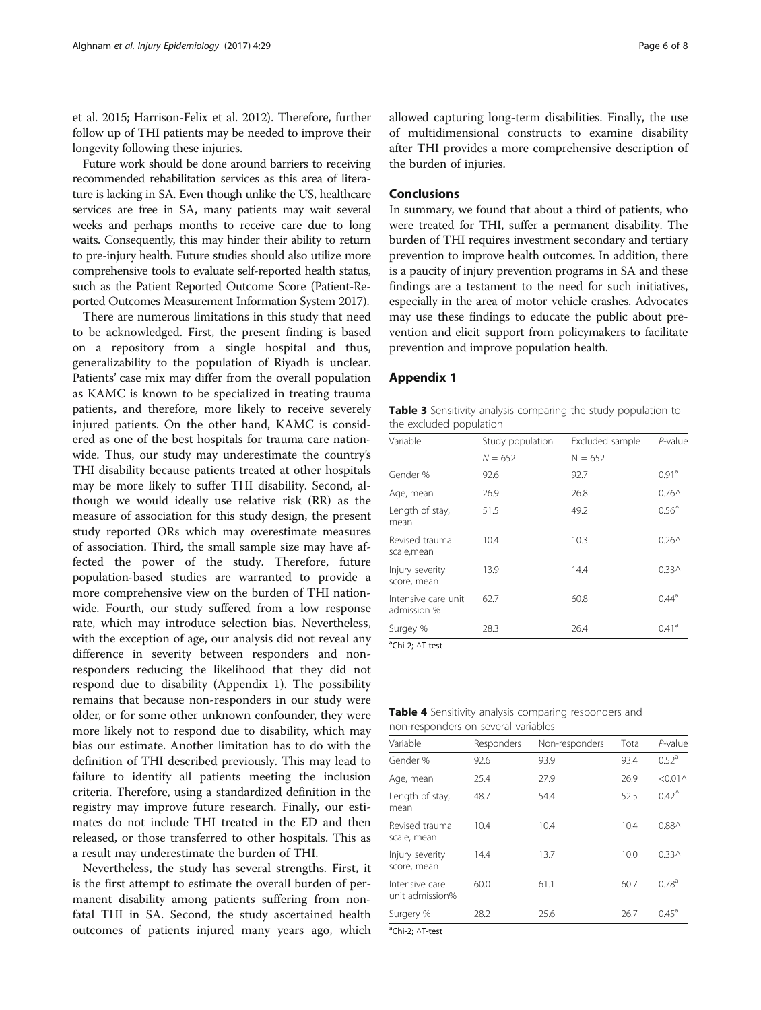<span id="page-5-0"></span>et al. [2015](#page-6-0); Harrison-Felix et al. [2012\)](#page-6-0). Therefore, further follow up of THI patients may be needed to improve their longevity following these injuries.

Future work should be done around barriers to receiving recommended rehabilitation services as this area of literature is lacking in SA. Even though unlike the US, healthcare services are free in SA, many patients may wait several weeks and perhaps months to receive care due to long waits. Consequently, this may hinder their ability to return to pre-injury health. Future studies should also utilize more comprehensive tools to evaluate self-reported health status, such as the Patient Reported Outcome Score (Patient-Reported Outcomes Measurement Information System [2017](#page-6-0)).

There are numerous limitations in this study that need to be acknowledged. First, the present finding is based on a repository from a single hospital and thus, generalizability to the population of Riyadh is unclear. Patients' case mix may differ from the overall population as KAMC is known to be specialized in treating trauma patients, and therefore, more likely to receive severely injured patients. On the other hand, KAMC is considered as one of the best hospitals for trauma care nationwide. Thus, our study may underestimate the country's THI disability because patients treated at other hospitals may be more likely to suffer THI disability. Second, although we would ideally use relative risk (RR) as the measure of association for this study design, the present study reported ORs which may overestimate measures of association. Third, the small sample size may have affected the power of the study. Therefore, future population-based studies are warranted to provide a more comprehensive view on the burden of THI nationwide. Fourth, our study suffered from a low response rate, which may introduce selection bias. Nevertheless, with the exception of age, our analysis did not reveal any difference in severity between responders and nonresponders reducing the likelihood that they did not respond due to disability (Appendix 1). The possibility remains that because non-responders in our study were older, or for some other unknown confounder, they were more likely not to respond due to disability, which may bias our estimate. Another limitation has to do with the definition of THI described previously. This may lead to failure to identify all patients meeting the inclusion criteria. Therefore, using a standardized definition in the registry may improve future research. Finally, our estimates do not include THI treated in the ED and then released, or those transferred to other hospitals. This as a result may underestimate the burden of THI.

Nevertheless, the study has several strengths. First, it is the first attempt to estimate the overall burden of permanent disability among patients suffering from nonfatal THI in SA. Second, the study ascertained health outcomes of patients injured many years ago, which allowed capturing long-term disabilities. Finally, the use of multidimensional constructs to examine disability after THI provides a more comprehensive description of the burden of injuries.

## Conclusions

In summary, we found that about a third of patients, who were treated for THI, suffer a permanent disability. The burden of THI requires investment secondary and tertiary prevention to improve health outcomes. In addition, there is a paucity of injury prevention programs in SA and these findings are a testament to the need for such initiatives, especially in the area of motor vehicle crashes. Advocates may use these findings to educate the public about prevention and elicit support from policymakers to facilitate prevention and improve population health.

#### Appendix 1

|                         |  |  | <b>Table 3</b> Sensitivity analysis comparing the study population to |  |
|-------------------------|--|--|-----------------------------------------------------------------------|--|
| the excluded population |  |  |                                                                       |  |

| Study population | Excluded sample | $P$ -value        |
|------------------|-----------------|-------------------|
| $N = 652$        | $N = 652$       |                   |
| 92.6             | 92.7            | 0.91 <sup>a</sup> |
| 26.9             | 26.8            | $0.76^$           |
| 51.5             | 49.2            | $0.56^{\circ}$    |
| 10.4             | 10.3            | $0.26^$           |
| 13.9             | 14.4            | $0.33^$           |
| 62.7             | 60.8            | $0.44^{\circ}$    |
| 28.3             | 26.4            | 0.41 <sup>a</sup> |
|                  |                 |                   |

a Chi-2; ^T-test

| Table 4 Sensitivity analysis comparing responders and |  |  |
|-------------------------------------------------------|--|--|
| non-responders on several variables                   |  |  |

| Variable                          | Responders | Non-responders | Total | $P$ -value        |
|-----------------------------------|------------|----------------|-------|-------------------|
| Gender %                          | 92.6       | 93.9           | 93.4  | 0.52 <sup>a</sup> |
| Age, mean                         | 25.4       | 27.9           | 26.9  | $< 0.01$ ^        |
| Length of stay,<br>mean           | 48.7       | 54.4           | 52.5  | $0.42^{\circ}$    |
| Revised trauma<br>scale, mean     | 10.4       | 10.4           | 10.4  | $0.88^$           |
| Injury severity<br>score, mean    | 14.4       | 13.7           | 10.0  | $0.33^$           |
| Intensive care<br>unit admission% | 60.0       | 61.1           | 60.7  | $0.78^{a}$        |
| Surgery %                         | 28.2       | 25.6           | 26.7  | $0.45^{\circ}$    |
|                                   |            |                |       |                   |

a Chi-2; ^T-test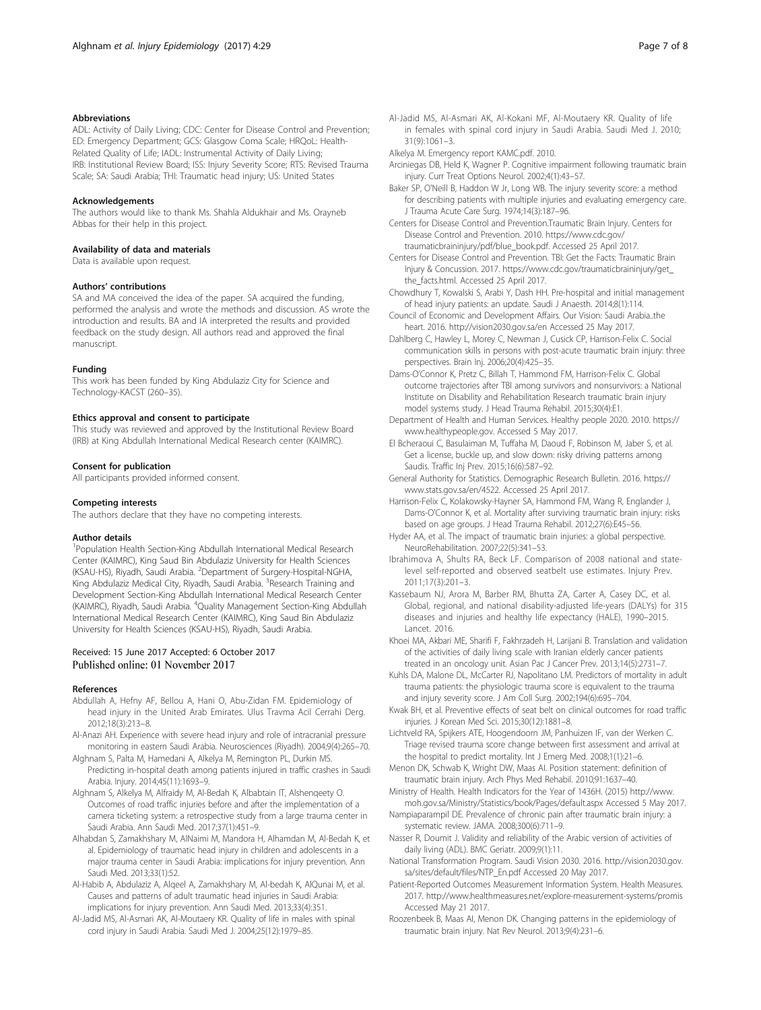#### <span id="page-6-0"></span>Abbreviations

ADL: Activity of Daily Living; CDC: Center for Disease Control and Prevention; ED: Emergency Department; GCS: Glasgow Coma Scale; HRQoL: Health-Related Quality of Life; IADL: Instrumental Activity of Daily Living; IRB: Institutional Review Board; ISS: Injury Severity Score; RTS: Revised Trauma Scale; SA: Saudi Arabia; THI: Traumatic head injury; US: United States

#### Acknowledgements

The authors would like to thank Ms. Shahla Aldukhair and Ms. Orayneb Abbas for their help in this project.

#### Availability of data and materials

Data is available upon request.

#### Authors' contributions

SA and MA conceived the idea of the paper. SA acquired the funding, performed the analysis and wrote the methods and discussion. AS wrote the introduction and results. BA and IA interpreted the results and provided feedback on the study design. All authors read and approved the final manuscript.

#### Funding

This work has been funded by King Abdulaziz City for Science and Technology-KACST (260–35).

#### Ethics approval and consent to participate

This study was reviewed and approved by the Institutional Review Board (IRB) at King Abdullah International Medical Research center (KAIMRC).

#### Consent for publication

All participants provided informed consent.

## Competing interests

The authors declare that they have no competing interests.

#### Author details

<sup>1</sup> Population Health Section-King Abdullah International Medical Research Center (KAIMRC), King Saud Bin Abdulaziz University for Health Sciences (KSAU-HS), Riyadh, Saudi Arabia. <sup>2</sup>Department of Surgery-Hospital-NGHA, King Abdulaziz Medical City, Riyadh, Saudi Arabia. <sup>3</sup>Research Training and Development Section-King Abdullah International Medical Research Center (KAIMRC), Riyadh, Saudi Arabia. <sup>4</sup> Quality Management Section-King Abdullah International Medical Research Center (KAIMRC), King Saud Bin Abdulaziz University for Health Sciences (KSAU-HS), Riyadh, Saudi Arabia.

#### Received: 15 June 2017 Accepted: 6 October 2017 Published online: 01 November 2017

#### References

- Abdullah A, Hefny AF, Bellou A, Hani O, Abu-Zidan FM. Epidemiology of head injury in the United Arab Emirates. Ulus Travma Acil Cerrahi Derg. 2012;18(3):213–8.
- Al-Anazi AH. Experience with severe head injury and role of intracranial pressure monitoring in eastern Saudi Arabia. Neurosciences (Riyadh). 2004;9(4):265–70.
- Alghnam S, Palta M, Hamedani A, Alkelya M, Remington PL, Durkin MS. Predicting in-hospital death among patients injured in traffic crashes in Saudi Arabia. Injury. 2014;45(11):1693–9.
- Alghnam S, Alkelya M, Alfraidy M, Al-Bedah K, Albabtain IT, Alshenqeety O. Outcomes of road traffic injuries before and after the implementation of a camera ticketing system: a retrospective study from a large trauma center in Saudi Arabia. Ann Saudi Med. 2017;37(1):451–9.
- Alhabdan S, Zamakhshary M, AlNaimi M, Mandora H, Alhamdan M, Al-Bedah K, et al. Epidemiology of traumatic head injury in children and adolescents in a major trauma center in Saudi Arabia: implications for injury prevention. Ann Saudi Med. 2013;33(1):52.
- Al-Habib A, Abdulaziz A, Alqeel A, Zamakhshary M, Al-bedah K, AlQunai M, et al. Causes and patterns of adult traumatic head injuries in Saudi Arabia: implications for injury prevention. Ann Saudi Med. 2013;33(4):351.
- Al-Jadid MS, Al-Asmari AK, Al-Moutaery KR. Quality of life in males with spinal cord injury in Saudi Arabia. Saudi Med J. 2004;25(12):1979–85.

Al-Jadid MS, Al-Asmari AK, Al-Kokani MF, Al-Moutaery KR. Quality of life in females with spinal cord injury in Saudi Arabia. Saudi Med J. 2010; 31(9):1061–3.

Alkelya M. Emergency report KAMC.pdf. 2010.

- Arciniegas DB, Held K, Wagner P. Cognitive impairment following traumatic brain injury. Curr Treat Options Neurol. 2002;4(1):43–57.
- Baker SP, O'Neill B, Haddon W Jr, Long WB. The injury severity score: a method for describing patients with multiple injuries and evaluating emergency care. J Trauma Acute Care Surg. 1974;14(3):187–96.

Centers for Disease Control and Prevention.Traumatic Brain Injury. Centers for Disease Control and Prevention. 2010. [https://www.cdc.gov/](https://www.cdc.gov/traumaticbraininjury/pdf/blue_book.pdf) [traumaticbraininjury/pdf/blue\\_book.pdf](https://www.cdc.gov/traumaticbraininjury/pdf/blue_book.pdf). Accessed 25 April 2017.

Centers for Disease Control and Prevention. TBI: Get the Facts: Traumatic Brain Injury & Concussion. 2017. [https://www.cdc.gov/traumaticbraininjury/get\\_](https://www.cdc.gov/traumaticbraininjury/get_the_facts.html) [the\\_facts.html.](https://www.cdc.gov/traumaticbraininjury/get_the_facts.html) Accessed 25 April 2017.

Chowdhury T, Kowalski S, Arabi Y, Dash HH. Pre-hospital and initial management of head injury patients: an update. Saudi J Anaesth. 2014;8(1):114.

- Council of Economic and Development Affairs. Our Vision: Saudi Arabia..the heart. 2016.<http://vision2030.gov.sa/en> Accessed 25 May 2017.
- Dahlberg C, Hawley L, Morey C, Newman J, Cusick CP, Harrison-Felix C. Social communication skills in persons with post-acute traumatic brain injury: three perspectives. Brain Inj. 2006;20(4):425–35.
- Dams-O'Connor K, Pretz C, Billah T, Hammond FM, Harrison-Felix C. Global outcome trajectories after TBI among survivors and nonsurvivors: a National Institute on Disability and Rehabilitation Research traumatic brain injury model systems study. J Head Trauma Rehabil. 2015;30(4):E1.
- Department of Health and Human Services. Healthy people 2020. 2010. [https://](https://www.healthypeople.gov) [www.healthypeople.gov.](https://www.healthypeople.gov) Accessed 5 May 2017.
- El Bcheraoui C, Basulaiman M, Tuffaha M, Daoud F, Robinson M, Jaber S, et al. Get a license, buckle up, and slow down: risky driving patterns among Saudis. Traffic Inj Prev. 2015;16(6):587–92.
- General Authority for Statistics. Demographic Research Bulletin. 2016. [https://](https://www.stats.gov.sa/en/4522) [www.stats.gov.sa/en/4522.](https://www.stats.gov.sa/en/4522) Accessed 25 April 2017.
- Harrison-Felix C, Kolakowsky-Hayner SA, Hammond FM, Wang R, Englander J, Dams-O'Connor K, et al. Mortality after surviving traumatic brain injury: risks based on age groups. J Head Trauma Rehabil. 2012;27(6):E45–56.
- Hyder AA, et al. The impact of traumatic brain injuries: a global perspective. NeuroRehabilitation. 2007;22(5):341–53.
- Ibrahimova A, Shults RA, Beck LF. Comparison of 2008 national and statelevel self-reported and observed seatbelt use estimates. Injury Prev. 2011;17(3):201–3.
- Kassebaum NJ, Arora M, Barber RM, Bhutta ZA, Carter A, Casey DC, et al. Global, regional, and national disability-adjusted life-years (DALYs) for 315 diseases and injuries and healthy life expectancy (HALE), 1990–2015. Lancet. 2016.
- Khoei MA, Akbari ME, Sharifi F, Fakhrzadeh H, Larijani B. Translation and validation of the activities of daily living scale with Iranian elderly cancer patients treated in an oncology unit. Asian Pac J Cancer Prev. 2013;14(5):2731–7.
- Kuhls DA, Malone DL, McCarter RJ, Napolitano LM. Predictors of mortality in adult trauma patients: the physiologic trauma score is equivalent to the trauma and injury severity score. J Am Coll Surg. 2002;194(6):695–704.
- Kwak BH, et al. Preventive effects of seat belt on clinical outcomes for road traffic injuries. J Korean Med Sci. 2015;30(12):1881–8.
- Lichtveld RA, Spijkers ATE, Hoogendoorn JM, Panhuizen IF, van der Werken C. Triage revised trauma score change between first assessment and arrival at the hospital to predict mortality. Int J Emerg Med. 2008;1(1):21–6.
- Menon DK, Schwab K, Wright DW, Maas AI. Position statement: definition of traumatic brain injury. Arch Phys Med Rehabil. 2010;91:1637–40.
- Ministry of Health. Health Indicators for the Year of 1436H. (2015) [http://www.](http://www.moh.gov.sa/Ministry/Statistics/book/Pages/default.aspx) [moh.gov.sa/Ministry/Statistics/book/Pages/default.aspx](http://www.moh.gov.sa/Ministry/Statistics/book/Pages/default.aspx) Accessed 5 May 2017.
- Nampiaparampil DE. Prevalence of chronic pain after traumatic brain injury: a systematic review. JAMA. 2008;300(6):711–9.
- Nasser R, Doumit J. Validity and reliability of the Arabic version of activities of daily living (ADL). BMC Geriatr. 2009;9(1):11.
- National Transformation Program. Saudi Vision 2030. 2016. [http://vision2030.gov.](http://vision2030.gov.sa/sites/default/files/NTP_En.pdf) [sa/sites/default/files/NTP\\_En.pdf](http://vision2030.gov.sa/sites/default/files/NTP_En.pdf) Accessed 20 May 2017.
- Patient-Reported Outcomes Measurement Information System. Health Measures. 2017.<http://www.healthmeasures.net/explore-measurement-systems/promis> Accessed May 21 2017.
- Roozenbeek B, Maas AI, Menon DK. Changing patterns in the epidemiology of traumatic brain injury. Nat Rev Neurol. 2013;9(4):231–6.